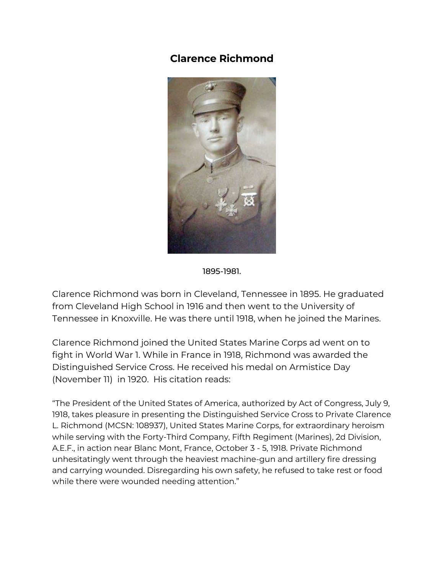## **Clarence Richmond**



1895-1981.

Clarence Richmond was born in Cleveland, Tennessee in 1895. He graduated from Cleveland High School in 1916 and then went to the University of Tennessee in Knoxville. He was there until 1918, when he joined the Marines.

Clarence Richmond joined the United States Marine Corps ad went on to fight in World War 1. While in France in 1918, Richmond was awarded the Distinguished Service Cross. He received his medal on Armistice Day (November 11) in 1920. His citation reads:

"The President of the United States of America, authorized by Act of Congress, July 9, 1918, takes pleasure in presenting the Distinguished Service Cross to Private Clarence L. Richmond (MCSN: 108937), United States Marine Corps, for extraordinary heroism while serving with the Forty-Third Company, Fifth Regiment (Marines), 2d Division, A.E.F., in action near Blanc Mont, France, October 3 - 5, 1918. Private Richmond unhesitatingly went through the heaviest machine-gun and artillery fire dressing and carrying wounded. Disregarding his own safety, he refused to take rest or food while there were wounded needing attention."